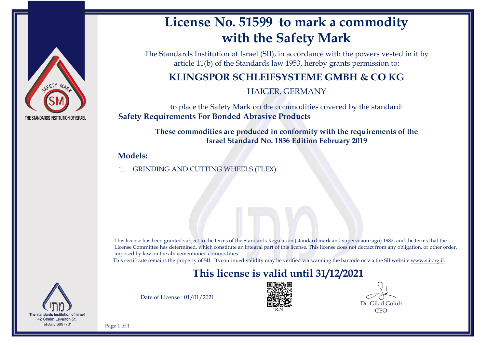

# **License No. 51599 to mark a commodity with the Safety Mark**

The Standards Institution of Israel (SII), in accordance with the powers vested in it by article 11(b) of the Standards law 1953, hereby grants permission to:

## **KLINGSPOR SCHLEIFSYSTEME GMBH & CO KG**

HAIGER, GERMANY

to place the Safety Mark on the commodities covered by the standard: **Safety Requirements For Bonded Abrasive Products**

> **These commodities are produced in conformity with the requirements of the Israel Standard No. 1836 Edition February 2019**

### **Models:**

1. GRINDING AND CUTTING WHEELS (FLEX)

This license has been granted subject to the terms of the Standards Regulation (standard mark and supervision sign) 1982, and the terms that the License Committee has determined, which constitute an integral part of this license. This license does not detract from any obligation, or other order, imposed by law on the abovementioned commodities

This certificate remains the property of SII. Its continued validity may be verified via scanning the barcode or via the SII website [www.sii.org.il.](http://www.sii.org.il)

## **This license is valid until 31/12/2021**



Date of License : 01/01/2021



Dr. Gilad Golub CEO

Page 1 of 1